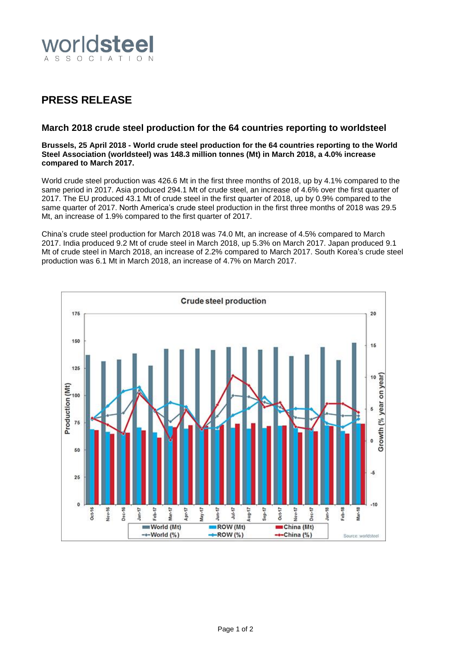

## **PRESS RELEASE**

## **March 2018 crude steel production for the 64 countries reporting to worldsteel**

**Brussels, 25 April 2018 - World crude steel production for the 64 countries reporting to the World Steel Association (worldsteel) was 148.3 million tonnes (Mt) in March 2018, a 4.0% increase compared to March 2017.**

World crude steel production was 426.6 Mt in the first three months of 2018, up by 4.1% compared to the same period in 2017. Asia produced 294.1 Mt of crude steel, an increase of 4.6% over the first quarter of 2017. The EU produced 43.1 Mt of crude steel in the first quarter of 2018, up by 0.9% compared to the same quarter of 2017. North America's crude steel production in the first three months of 2018 was 29.5 Mt, an increase of 1.9% compared to the first quarter of 2017.

China's crude steel production for March 2018 was 74.0 Mt, an increase of 4.5% compared to March 2017. India produced 9.2 Mt of crude steel in March 2018, up 5.3% on March 2017. Japan produced 9.1 Mt of crude steel in March 2018, an increase of 2.2% compared to March 2017. South Korea's crude steel production was 6.1 Mt in March 2018, an increase of 4.7% on March 2017.